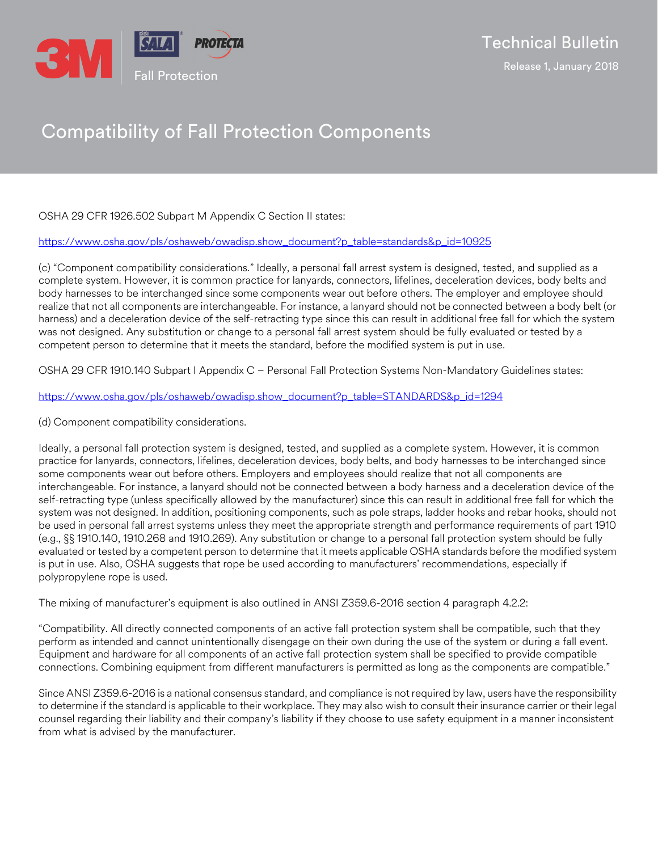

## Compatibility of Fall Protection Components

## OSHA 29 CFR 1926.502 Subpart M Appendix C Section II states:

[https://www.osha.gov/pls/oshaweb/owadisp.show\\_document?p\\_table=standards&p\\_id=10925](https://www.osha.gov/pls/oshaweb/owadisp.show_document?p_table=standards&p_id=10925)

(c) "Component compatibility considerations." Ideally, a personal fall arrest system is designed, tested, and supplied as a complete system. However, it is common practice for lanyards, connectors, lifelines, deceleration devices, body belts and body harnesses to be interchanged since some components wear out before others. The employer and employee should realize that not all components are interchangeable. For instance, a lanyard should not be connected between a body belt (or harness) and a deceleration device of the self-retracting type since this can result in additional free fall for which the system was not designed. Any substitution or change to a personal fall arrest system should be fully evaluated or tested by a competent person to determine that it meets the standard, before the modified system is put in use.

OSHA 29 CFR 1910.140 Subpart I Appendix C – Personal Fall Protection Systems Non-Mandatory Guidelines states:

[https://www.osha.gov/pls/oshaweb/owadisp.show\\_document?p\\_table=STANDARDS&p\\_id=1294](https://www.osha.gov/pls/oshaweb/owadisp.show_document?p_table=STANDARDS&p_id=1294)

(d) Component compatibility considerations.

Ideally, a personal fall protection system is designed, tested, and supplied as a complete system. However, it is common practice for lanyards, connectors, lifelines, deceleration devices, body belts, and body harnesses to be interchanged since some components wear out before others. Employers and employees should realize that not all components are interchangeable. For instance, a lanyard should not be connected between a body harness and a deceleration device of the self-retracting type (unless specifically allowed by the manufacturer) since this can result in additional free fall for which the system was not designed. In addition, positioning components, such as pole straps, ladder hooks and rebar hooks, should not be used in personal fall arrest systems unless they meet the appropriate strength and performance requirements of part 1910 (e.g., §§ 1910.140, 1910.268 and 1910.269). Any substitution or change to a personal fall protection system should be fully evaluated or tested by a competent person to determine that it meets applicable OSHA standards before the modified system is put in use. Also, OSHA suggests that rope be used according to manufacturers' recommendations, especially if polypropylene rope is used.

The mixing of manufacturer's equipment is also outlined in ANSI Z359.6-2016 section 4 paragraph 4.2.2:

"Compatibility. All directly connected components of an active fall protection system shall be compatible, such that they perform as intended and cannot unintentionally disengage on their own during the use of the system or during a fall event. Equipment and hardware for all components of an active fall protection system shall be specified to provide compatible connections. Combining equipment from different manufacturers is permitted as long as the components are compatible."

Since ANSI Z359.6-2016 is a national consensus standard, and compliance is not required by law, users have the responsibility to determine if the standard is applicable to their workplace. They may also wish to consult their insurance carrier or their legal counsel regarding their liability and their company's liability if they choose to use safety equipment in a manner inconsistent from what is advised by the manufacturer.